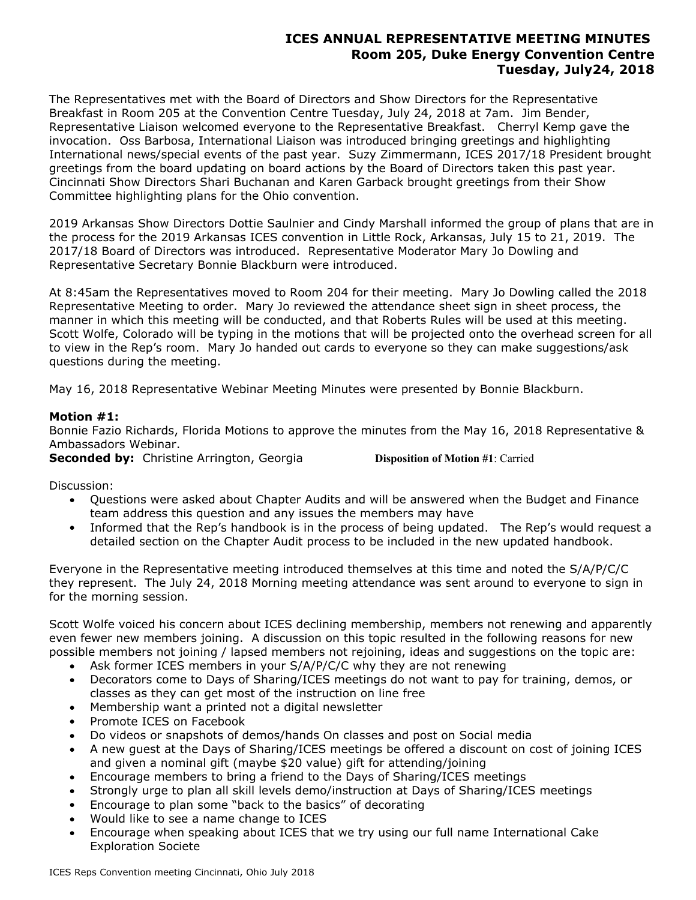# **ICES ANNUAL REPRESENTATIVE MEETING MINUTES Room 205, Duke Energy Convention Centre Tuesday, July24, 2018**

The Representatives met with the Board of Directors and Show Directors for the Representative Breakfast in Room 205 at the Convention Centre Tuesday, July 24, 2018 at 7am. Jim Bender, Representative Liaison welcomed everyone to the Representative Breakfast. Cherryl Kemp gave the invocation. Oss Barbosa, International Liaison was introduced bringing greetings and highlighting International news/special events of the past year. Suzy Zimmermann, ICES 2017/18 President brought greetings from the board updating on board actions by the Board of Directors taken this past year. Cincinnati Show Directors Shari Buchanan and Karen Garback brought greetings from their Show Committee highlighting plans for the Ohio convention.

2019 Arkansas Show Directors Dottie Saulnier and Cindy Marshall informed the group of plans that are in the process for the 2019 Arkansas ICES convention in Little Rock, Arkansas, July 15 to 21, 2019. The 2017/18 Board of Directors was introduced. Representative Moderator Mary Jo Dowling and Representative Secretary Bonnie Blackburn were introduced.

At 8:45am the Representatives moved to Room 204 for their meeting. Mary Jo Dowling called the 2018 Representative Meeting to order. Mary Jo reviewed the attendance sheet sign in sheet process, the manner in which this meeting will be conducted, and that Roberts Rules will be used at this meeting. Scott Wolfe, Colorado will be typing in the motions that will be projected onto the overhead screen for all to view in the Rep's room. Mary Jo handed out cards to everyone so they can make suggestions/ask questions during the meeting.

May 16, 2018 Representative Webinar Meeting Minutes were presented by Bonnie Blackburn.

## **Motion #1:**

Bonnie Fazio Richards, Florida Motions to approve the minutes from the May 16, 2018 Representative & Ambassadors Webinar.

**Seconded by:** Christine Arrington, Georgia **Disposition of Motion #1**: Carried

Discussion:

- Questions were asked about Chapter Audits and will be answered when the Budget and Finance team address this question and any issues the members may have
- Informed that the Rep's handbook is in the process of being updated. The Rep's would request a detailed section on the Chapter Audit process to be included in the new updated handbook.

Everyone in the Representative meeting introduced themselves at this time and noted the S/A/P/C/C they represent. The July 24, 2018 Morning meeting attendance was sent around to everyone to sign in for the morning session.

Scott Wolfe voiced his concern about ICES declining membership, members not renewing and apparently even fewer new members joining. A discussion on this topic resulted in the following reasons for new possible members not joining / lapsed members not rejoining, ideas and suggestions on the topic are:

- Ask former ICES members in your S/A/P/C/C why they are not renewing
- Decorators come to Days of Sharing/ICES meetings do not want to pay for training, demos, or classes as they can get most of the instruction on line free
- Membership want a printed not a digital newsletter
- Promote ICES on Facebook
- Do videos or snapshots of demos/hands On classes and post on Social media
- A new guest at the Days of Sharing/ICES meetings be offered a discount on cost of joining ICES and given a nominal gift (maybe \$20 value) gift for attending/joining
- Encourage members to bring a friend to the Days of Sharing/ICES meetings
- Strongly urge to plan all skill levels demo/instruction at Days of Sharing/ICES meetings
- Encourage to plan some "back to the basics" of decorating
- Would like to see a name change to ICES
- Encourage when speaking about ICES that we try using our full name International Cake Exploration Societe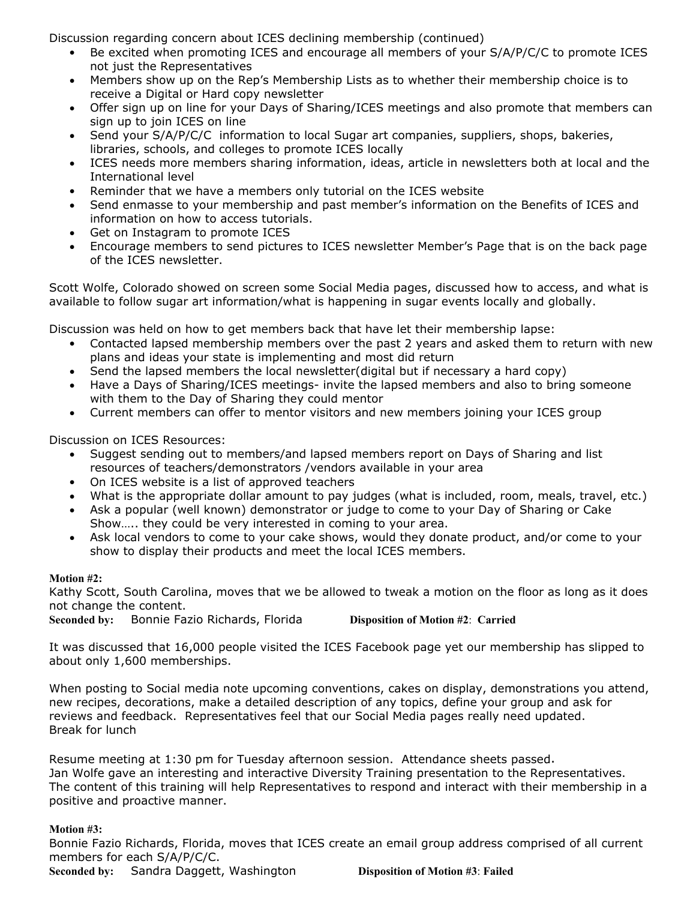Discussion regarding concern about ICES declining membership (continued)

- Be excited when promoting ICES and encourage all members of your S/A/P/C/C to promote ICES not just the Representatives
- Members show up on the Rep's Membership Lists as to whether their membership choice is to receive a Digital or Hard copy newsletter
- Offer sign up on line for your Days of Sharing/ICES meetings and also promote that members can sign up to join ICES on line
- Send your S/A/P/C/C information to local Sugar art companies, suppliers, shops, bakeries, libraries, schools, and colleges to promote ICES locally
- ICES needs more members sharing information, ideas, article in newsletters both at local and the International level
- Reminder that we have a members only tutorial on the ICES website
- Send enmasse to your membership and past member's information on the Benefits of ICES and information on how to access tutorials.
- Get on Instagram to promote ICES
- Encourage members to send pictures to ICES newsletter Member's Page that is on the back page of the ICES newsletter.

Scott Wolfe, Colorado showed on screen some Social Media pages, discussed how to access, and what is available to follow sugar art information/what is happening in sugar events locally and globally.

Discussion was held on how to get members back that have let their membership lapse:

- Contacted lapsed membership members over the past 2 years and asked them to return with new plans and ideas your state is implementing and most did return
- Send the lapsed members the local newsletter(digital but if necessary a hard copy)
- Have a Days of Sharing/ICES meetings- invite the lapsed members and also to bring someone with them to the Day of Sharing they could mentor
- Current members can offer to mentor visitors and new members joining your ICES group

Discussion on ICES Resources:

- Suggest sending out to members/and lapsed members report on Days of Sharing and list resources of teachers/demonstrators /vendors available in your area
- On ICES website is a list of approved teachers
- What is the appropriate dollar amount to pay judges (what is included, room, meals, travel, etc.)
- Ask a popular (well known) demonstrator or judge to come to your Day of Sharing or Cake Show….. they could be very interested in coming to your area.
- Ask local vendors to come to your cake shows, would they donate product, and/or come to your show to display their products and meet the local ICES members.

## **Motion #2:**

Kathy Scott, South Carolina, moves that we be allowed to tweak a motion on the floor as long as it does not change the content.

**Seconded by:** Bonnie Fazio Richards, Florida **Disposition of Motion #2**: **Carried**

It was discussed that 16,000 people visited the ICES Facebook page yet our membership has slipped to about only 1,600 memberships.

When posting to Social media note upcoming conventions, cakes on display, demonstrations you attend, new recipes, decorations, make a detailed description of any topics, define your group and ask for reviews and feedback. Representatives feel that our Social Media pages really need updated. Break for lunch

Resume meeting at 1:30 pm for Tuesday afternoon session. Attendance sheets passed. Jan Wolfe gave an interesting and interactive Diversity Training presentation to the Representatives. The content of this training will help Representatives to respond and interact with their membership in a positive and proactive manner.

## **Motion #3:**

Bonnie Fazio Richards, Florida, moves that ICES create an email group address comprised of all current members for each S/A/P/C/C. **Seconded by:** Sandra Daggett, Washington **Disposition of Motion #3**: **Failed**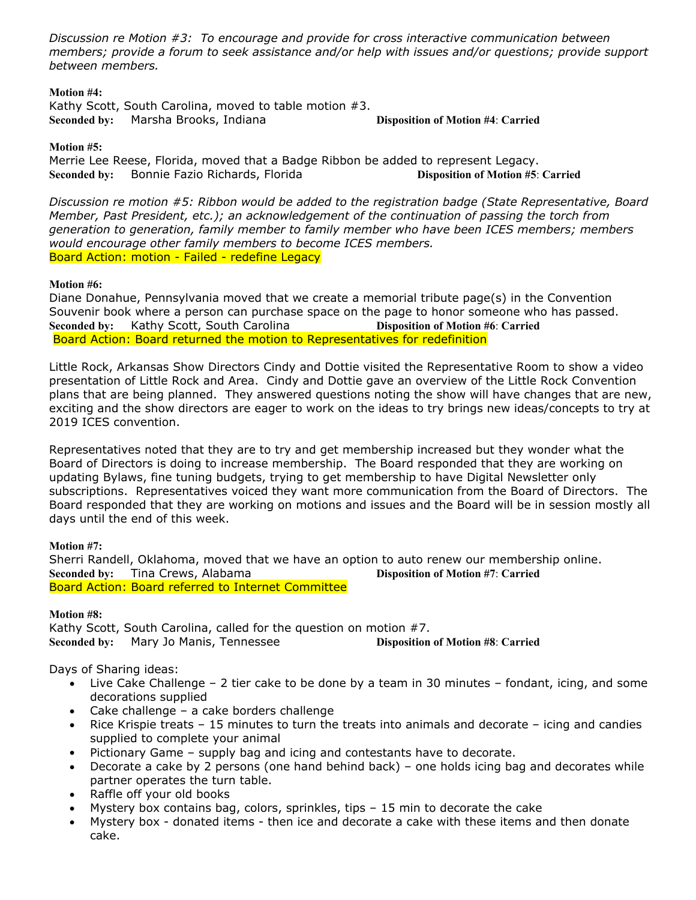*Discussion re Motion #3: To encourage and provide for cross interactive communication between members; provide a forum to seek assistance and/or help with issues and/or questions; provide support between members.* 

#### **Motion #4:**

Kathy Scott, South Carolina, moved to table motion #3. **Seconded by:** Marsha Brooks, Indiana **Disposition of Motion #4**: **Carried**

#### **Motion #5:**

Merrie Lee Reese, Florida, moved that a Badge Ribbon be added to represent Legacy. **Seconded by:** Bonnie Fazio Richards, Florida **Disposition of Motion #5**: **Carried**

*Discussion re motion #5: Ribbon would be added to the registration badge (State Representative, Board Member, Past President, etc.); an acknowledgement of the continuation of passing the torch from generation to generation, family member to family member who have been ICES members; members would encourage other family members to become ICES members.* Board Action: motion - Failed - redefine Legacy

#### **Motion #6:**

Diane Donahue, Pennsylvania moved that we create a memorial tribute page(s) in the Convention Souvenir book where a person can purchase space on the page to honor someone who has passed. **Seconded by:** Kathy Scott, South Carolina **Disposition of Motion #6**: **Carried** Board Action: Board returned the motion to Representatives for redefinition

Little Rock, Arkansas Show Directors Cindy and Dottie visited the Representative Room to show a video presentation of Little Rock and Area. Cindy and Dottie gave an overview of the Little Rock Convention plans that are being planned. They answered questions noting the show will have changes that are new, exciting and the show directors are eager to work on the ideas to try brings new ideas/concepts to try at 2019 ICES convention.

Representatives noted that they are to try and get membership increased but they wonder what the Board of Directors is doing to increase membership. The Board responded that they are working on updating Bylaws, fine tuning budgets, trying to get membership to have Digital Newsletter only subscriptions. Representatives voiced they want more communication from the Board of Directors. The Board responded that they are working on motions and issues and the Board will be in session mostly all days until the end of this week.

## **Motion #7:**

Sherri Randell, Oklahoma, moved that we have an option to auto renew our membership online. **Seconded by:** Tina Crews, Alabama **Disposition of Motion #7**: **Carried** Board Action: Board referred to Internet Committee

#### **Motion #8:**

Kathy Scott, South Carolina, called for the question on motion #7. **Seconded by:** Mary Jo Manis, Tennessee **Disposition of Motion #8**: **Carried**

# Days of Sharing ideas:

- Live Cake Challenge 2 tier cake to be done by a team in 30 minutes fondant, icing, and some decorations supplied
- Cake challenge a cake borders challenge
- Rice Krispie treats 15 minutes to turn the treats into animals and decorate icing and candies supplied to complete your animal
- Pictionary Game supply bag and icing and contestants have to decorate.
- Decorate a cake by 2 persons (one hand behind back) one holds icing bag and decorates while partner operates the turn table.
- Raffle off your old books
- Mystery box contains bag, colors, sprinkles, tips 15 min to decorate the cake
- Mystery box donated items then ice and decorate a cake with these items and then donate cake.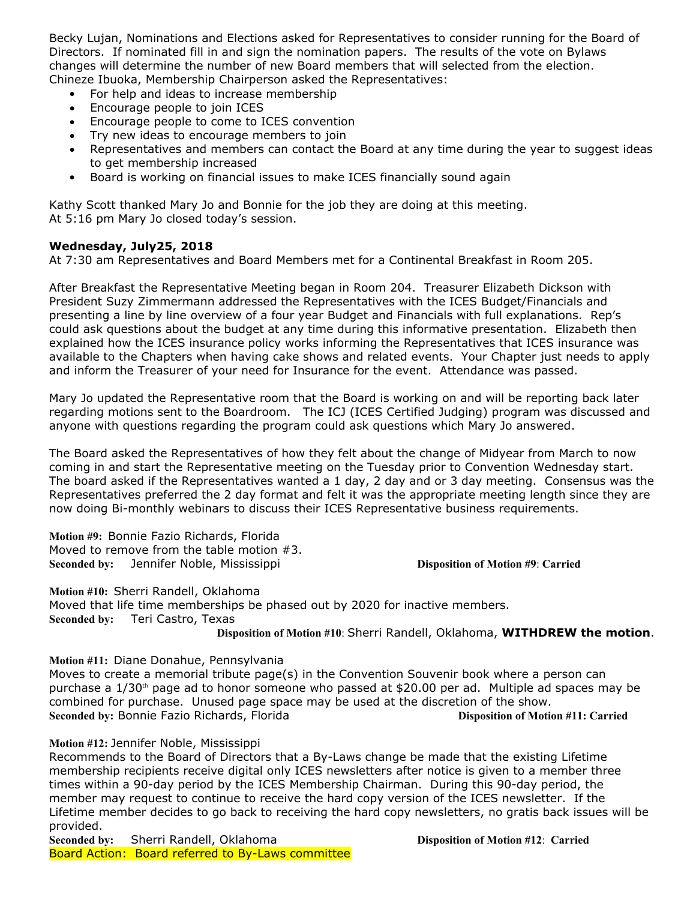Becky Lujan, Nominations and Elections asked for Representatives to consider running for the Board of Directors. If nominated fill in and sign the nomination papers. The results of the vote on Bylaws changes will determine the number of new Board members that will selected from the election. Chineze Ibuoka, Membership Chairperson asked the Representatives:

- For help and ideas to increase membership
- Encourage people to join ICES
- Encourage people to come to ICES convention
- Try new ideas to encourage members to join
- Representatives and members can contact the Board at any time during the year to suggest ideas to get membership increased
- Board is working on financial issues to make ICES financially sound again

Kathy Scott thanked Mary Jo and Bonnie for the job they are doing at this meeting. At 5:16 pm Mary Jo closed today's session.

## **Wednesday, July25, 2018**

At 7:30 am Representatives and Board Members met for a Continental Breakfast in Room 205.

After Breakfast the Representative Meeting began in Room 204. Treasurer Elizabeth Dickson with President Suzy Zimmermann addressed the Representatives with the ICES Budget/Financials and presenting a line by line overview of a four year Budget and Financials with full explanations. Rep's could ask questions about the budget at any time during this informative presentation. Elizabeth then explained how the ICES insurance policy works informing the Representatives that ICES insurance was available to the Chapters when having cake shows and related events. Your Chapter just needs to apply and inform the Treasurer of your need for Insurance for the event. Attendance was passed.

Mary Jo updated the Representative room that the Board is working on and will be reporting back later regarding motions sent to the Boardroom. The ICJ (ICES Certified Judging) program was discussed and anyone with questions regarding the program could ask questions which Mary Jo answered.

The Board asked the Representatives of how they felt about the change of Midyear from March to now coming in and start the Representative meeting on the Tuesday prior to Convention Wednesday start. The board asked if the Representatives wanted a 1 day, 2 day and or 3 day meeting. Consensus was the Representatives preferred the 2 day format and felt it was the appropriate meeting length since they are now doing Bi-monthly webinars to discuss their ICES Representative business requirements.

**Motion #9:** Bonnie Fazio Richards, Florida Moved to remove from the table motion #3. **Seconded by:** Jennifer Noble, Mississippi **Disposition of Motion #9: Carried** 

**Motion #10:** Sherri Randell, Oklahoma Moved that life time memberships be phased out by 2020 for inactive members. **Seconded by:** Teri Castro, Texas

**Disposition of Motion #10**: Sherri Randell, Oklahoma, **WITHDREW the motion**.

**Motion #11:** Diane Donahue, Pennsylvania

Moves to create a memorial tribute page(s) in the Convention Souvenir book where a person can purchase a 1/30<sup>th</sup> page ad to honor someone who passed at \$20.00 per ad. Multiple ad spaces may be combined for purchase. Unused page space may be used at the discretion of the show. **Seconded by:** Bonnie Fazio Richards, Florida **Disposition of Motion #11: Carried**

## **Motion #12:** Jennifer Noble, Mississippi

Recommends to the Board of Directors that a By-Laws change be made that the existing Lifetime membership recipients receive digital only ICES newsletters after notice is given to a member three times within a 90-day period by the ICES Membership Chairman. During this 90-day period, the member may request to continue to receive the hard copy version of the ICES newsletter. If the Lifetime member decides to go back to receiving the hard copy newsletters, no gratis back issues will be provided.

**Seconded by:** Sherri Randell, Oklahoma **Disposition of Motion #12**: **Carried** Board Action: Board referred to By-Laws committee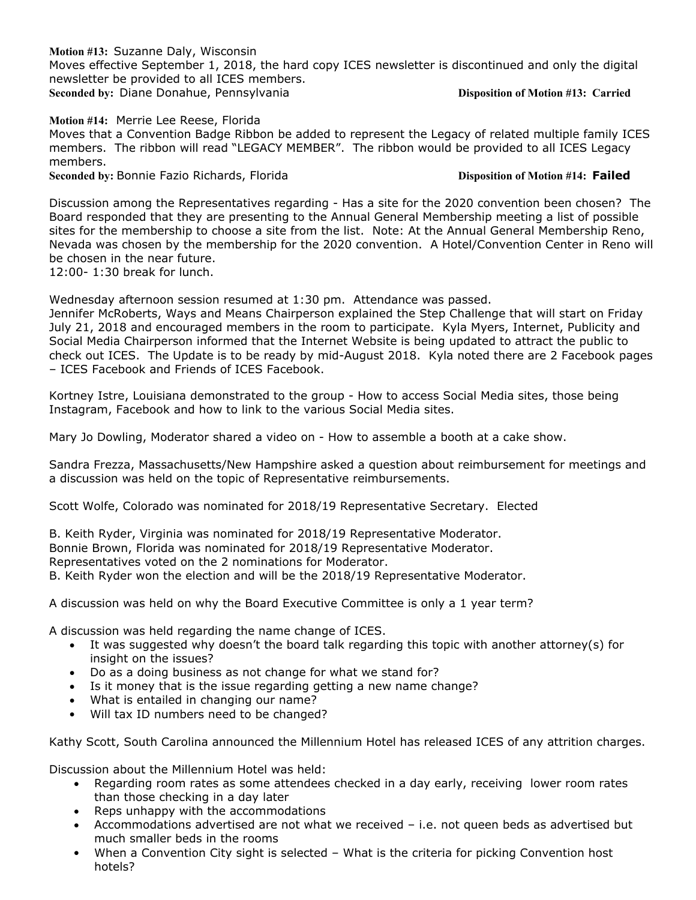**Motion #13:** Suzanne Daly, Wisconsin Moves effective September 1, 2018, the hard copy ICES newsletter is discontinued and only the digital newsletter be provided to all ICES members. **Seconded by: Diane Donahue, Pennsylvania <b>Disposition of Motion #13: Carried** 

**Motion #14:** Merrie Lee Reese, Florida Moves that a Convention Badge Ribbon be added to represent the Legacy of related multiple family ICES members. The ribbon will read "LEGACY MEMBER". The ribbon would be provided to all ICES Legacy members.

**Seconded by: Bonnie Fazio Richards, Florida <b>Disposition of Motion #14: Failed** 

Discussion among the Representatives regarding - Has a site for the 2020 convention been chosen? The Board responded that they are presenting to the Annual General Membership meeting a list of possible sites for the membership to choose a site from the list. Note: At the Annual General Membership Reno, Nevada was chosen by the membership for the 2020 convention. A Hotel/Convention Center in Reno will be chosen in the near future.

12:00- 1:30 break for lunch.

Wednesday afternoon session resumed at 1:30 pm. Attendance was passed. Jennifer McRoberts, Ways and Means Chairperson explained the Step Challenge that will start on Friday July 21, 2018 and encouraged members in the room to participate. Kyla Myers, Internet, Publicity and Social Media Chairperson informed that the Internet Website is being updated to attract the public to check out ICES. The Update is to be ready by mid-August 2018. Kyla noted there are 2 Facebook pages – ICES Facebook and Friends of ICES Facebook.

Kortney Istre, Louisiana demonstrated to the group - How to access Social Media sites, those being Instagram, Facebook and how to link to the various Social Media sites.

Mary Jo Dowling, Moderator shared a video on - How to assemble a booth at a cake show.

Sandra Frezza, Massachusetts/New Hampshire asked a question about reimbursement for meetings and a discussion was held on the topic of Representative reimbursements.

Scott Wolfe, Colorado was nominated for 2018/19 Representative Secretary. Elected

B. Keith Ryder, Virginia was nominated for 2018/19 Representative Moderator. Bonnie Brown, Florida was nominated for 2018/19 Representative Moderator. Representatives voted on the 2 nominations for Moderator. B. Keith Ryder won the election and will be the 2018/19 Representative Moderator.

A discussion was held on why the Board Executive Committee is only a 1 year term?

A discussion was held regarding the name change of ICES.

- It was suggested why doesn't the board talk regarding this topic with another attorney(s) for insight on the issues?
- Do as a doing business as not change for what we stand for?
- Is it money that is the issue regarding getting a new name change?
- What is entailed in changing our name?
- Will tax ID numbers need to be changed?

Kathy Scott, South Carolina announced the Millennium Hotel has released ICES of any attrition charges.

Discussion about the Millennium Hotel was held:

- Regarding room rates as some attendees checked in a day early, receiving lower room rates than those checking in a day later
- Reps unhappy with the accommodations
- Accommodations advertised are not what we received i.e. not queen beds as advertised but much smaller beds in the rooms
- When a Convention City sight is selected What is the criteria for picking Convention host hotels?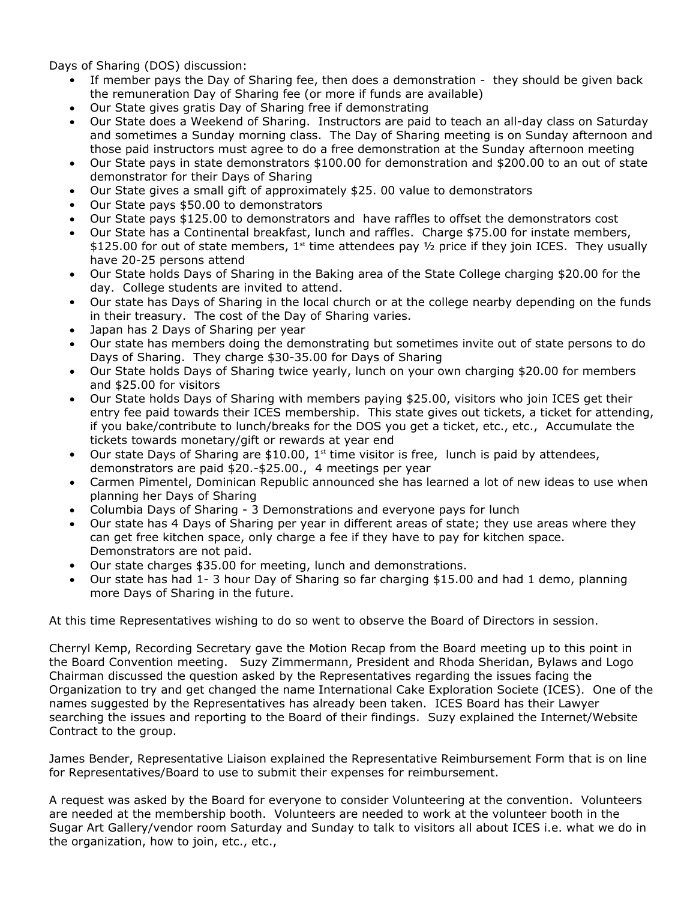Days of Sharing (DOS) discussion:

- If member pays the Day of Sharing fee, then does a demonstration they should be given back the remuneration Day of Sharing fee (or more if funds are available)
- Our State gives gratis Day of Sharing free if demonstrating
- Our State does a Weekend of Sharing. Instructors are paid to teach an all-day class on Saturday and sometimes a Sunday morning class. The Day of Sharing meeting is on Sunday afternoon and those paid instructors must agree to do a free demonstration at the Sunday afternoon meeting
- Our State pays in state demonstrators \$100.00 for demonstration and \$200.00 to an out of state demonstrator for their Days of Sharing
- Our State gives a small gift of approximately \$25. 00 value to demonstrators
- Our State pays \$50.00 to demonstrators
- Our State pays \$125.00 to demonstrators and have raffles to offset the demonstrators cost
- Our State has a Continental breakfast, lunch and raffles. Charge \$75.00 for instate members, \$125.00 for out of state members,  $1<sup>st</sup>$  time attendees pay  $\frac{1}{2}$  price if they join ICES. They usually have 20-25 persons attend
- Our State holds Days of Sharing in the Baking area of the State College charging \$20.00 for the day. College students are invited to attend.
- Our state has Days of Sharing in the local church or at the college nearby depending on the funds in their treasury. The cost of the Day of Sharing varies.
- Japan has 2 Days of Sharing per year
- Our state has members doing the demonstrating but sometimes invite out of state persons to do Days of Sharing. They charge \$30-35.00 for Days of Sharing
- Our State holds Days of Sharing twice yearly, lunch on your own charging \$20.00 for members and \$25.00 for visitors
- Our State holds Days of Sharing with members paying \$25.00, visitors who join ICES get their entry fee paid towards their ICES membership. This state gives out tickets, a ticket for attending, if you bake/contribute to lunch/breaks for the DOS you get a ticket, etc., etc., Accumulate the tickets towards monetary/gift or rewards at year end
- Our state Days of Sharing are  $$10.00$ ,  $1<sup>st</sup>$  time visitor is free, lunch is paid by attendees, demonstrators are paid \$20.-\$25.00., 4 meetings per year
- Carmen Pimentel, Dominican Republic announced she has learned a lot of new ideas to use when planning her Days of Sharing
- Columbia Days of Sharing 3 Demonstrations and everyone pays for lunch
- Our state has 4 Days of Sharing per year in different areas of state; they use areas where they can get free kitchen space, only charge a fee if they have to pay for kitchen space. Demonstrators are not paid.
- Our state charges \$35.00 for meeting, lunch and demonstrations.
- Our state has had 1- 3 hour Day of Sharing so far charging \$15.00 and had 1 demo, planning more Days of Sharing in the future.

At this time Representatives wishing to do so went to observe the Board of Directors in session.

Cherryl Kemp, Recording Secretary gave the Motion Recap from the Board meeting up to this point in the Board Convention meeting. Suzy Zimmermann, President and Rhoda Sheridan, Bylaws and Logo Chairman discussed the question asked by the Representatives regarding the issues facing the Organization to try and get changed the name International Cake Exploration Societe (ICES). One of the names suggested by the Representatives has already been taken. ICES Board has their Lawyer searching the issues and reporting to the Board of their findings. Suzy explained the Internet/Website Contract to the group.

James Bender, Representative Liaison explained the Representative Reimbursement Form that is on line for Representatives/Board to use to submit their expenses for reimbursement.

A request was asked by the Board for everyone to consider Volunteering at the convention. Volunteers are needed at the membership booth. Volunteers are needed to work at the volunteer booth in the Sugar Art Gallery/vendor room Saturday and Sunday to talk to visitors all about ICES i.e. what we do in the organization, how to join, etc., etc.,